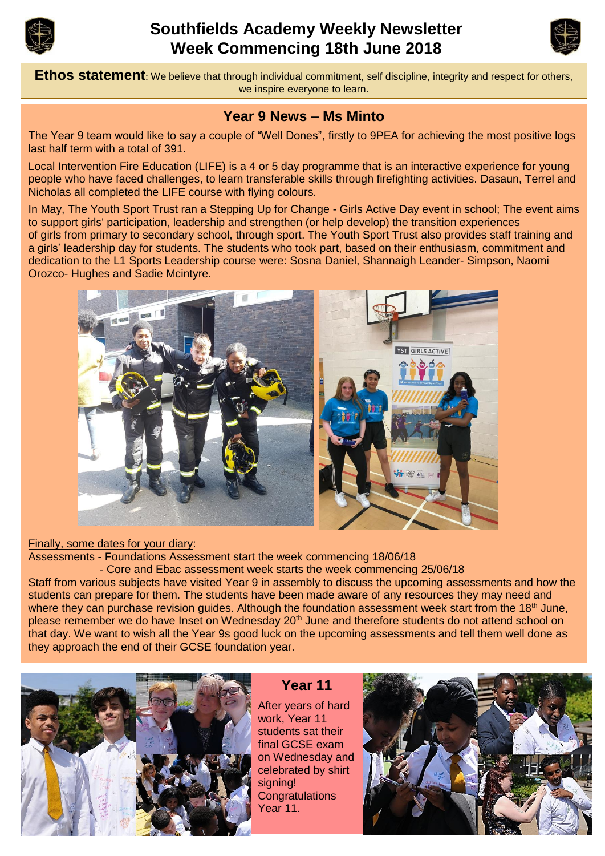

# **Southfields Academy Weekly Newsletter Week Commencing 18th June 2018**



**Ethos statement**: We believe that through individual commitment, self discipline, integrity and respect for others, we inspire everyone to learn.

#### **Year 9 News – Ms Minto**

The Year 9 team would like to say a couple of "Well Dones", firstly to 9PEA for achieving the most positive logs last half term with a total of 391.

Local Intervention Fire Education (LIFE) is a 4 or 5 day programme that is an interactive experience for young people who have faced challenges, to learn transferable skills through firefighting activities. Dasaun, Terrel and Nicholas all completed the LIFE course with flying colours.

In May, The Youth Sport Trust ran a Stepping Up for Change - Girls Active Day event in school; The event aims to support girls' participation, leadership and strengthen (or help develop) the transition experiences of girls from primary to secondary school, through sport. The Youth Sport Trust also provides staff training and a girls' leadership day for students. The students who took part, based on their enthusiasm, commitment and dedication to the L1 Sports Leadership course were: Sosna Daniel, Shannaigh Leander- Simpson, Naomi Orozco- Hughes and Sadie Mcintyre.



#### Finally, some dates for your diary:

Assessments - Foundations Assessment start the week commencing 18/06/18

- Core and Ebac assessment week starts the week commencing 25/06/18

Staff from various subjects have visited Year 9 in assembly to discuss the upcoming assessments and how the students can prepare for them. The students have been made aware of any resources they may need and where they can purchase revision guides. Although the foundation assessment week start from the 18<sup>th</sup> June, please remember we do have Inset on Wednesday 20<sup>th</sup> June and therefore students do not attend school on that day. We want to wish all the Year 9s good luck on the upcoming assessments and tell them well done as they approach the end of their GCSE foundation year.



**Year 11**

After years of hard work, Year 11 students sat their final GCSE exam on Wednesday and celebrated by shirt signing! **Congratulations** Year 11.

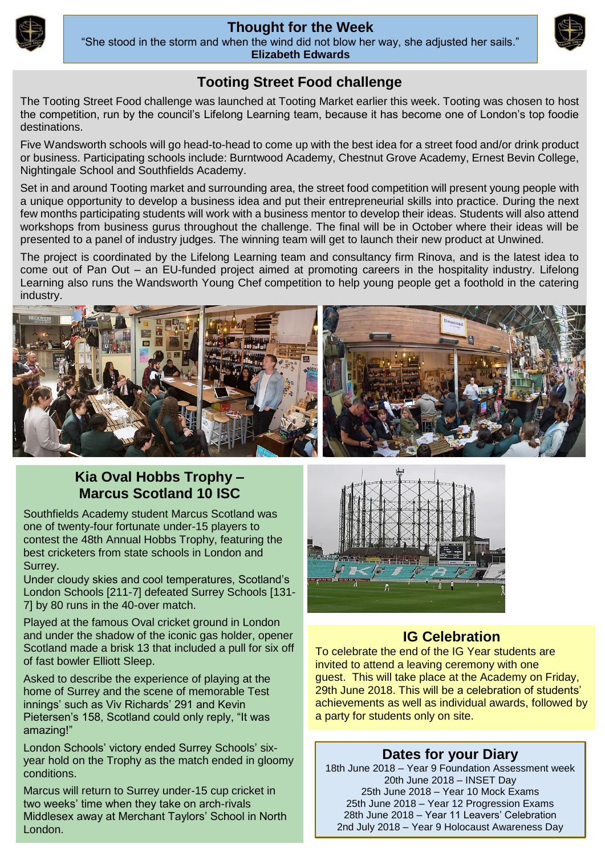

#### **Thought for the Week**



"She stood in the storm and when the wind did not blow her way, she adjusted her sails." **Elizabeth Edwards**

## **Tooting Street Food challenge**

The Tooting Street Food challenge was launched at Tooting Market earlier this week. Tooting was chosen to host the competition, run by the council's Lifelong Learning team, because it has become one of London's top foodie destinations.

Five Wandsworth schools will go head-to-head to come up with the best idea for a street food and/or drink product or business. Participating schools include: Burntwood Academy, Chestnut Grove Academy, Ernest Bevin College, Nightingale School and Southfields Academy.

Set in and around Tooting market and surrounding area, the street food competition will present young people with a unique opportunity to develop a business idea and put their entrepreneurial skills into practice. During the next few months participating students will work with a business mentor to develop their ideas. Students will also attend workshops from business gurus throughout the challenge. The final will be in October where their ideas will be presented to a panel of industry judges. The winning team will get to launch their new product at Unwined.

The project is coordinated by the Lifelong Learning team and consultancy firm Rinova, and is the latest idea to come out of Pan Out – an EU-funded project aimed at promoting careers in the hospitality industry. Lifelong Learning also runs the Wandsworth Young Chef competition to help young people get a foothold in the catering industry.



## **Kia Oval Hobbs Trophy – Marcus Scotland 10 ISC**

Southfields Academy student Marcus Scotland was one of twenty-four fortunate under-15 players to contest the 48th Annual Hobbs Trophy, featuring the best cricketers from state schools in London and Surrey.

Under cloudy skies and cool temperatures, Scotland's London Schools [211-7] defeated Surrey Schools [131- 7] by 80 runs in the 40-over match.

Played at the famous Oval cricket ground in London and under the shadow of the iconic gas holder, opener Scotland made a brisk 13 that included a pull for six off of fast bowler Elliott Sleep.

Asked to describe the experience of playing at the home of Surrey and the scene of memorable Test innings' such as Viv Richards' 291 and Kevin Pietersen's 158, Scotland could only reply, "It was amazing!"

London Schools' victory ended Surrey Schools' sixyear hold on the Trophy as the match ended in gloomy conditions.

Marcus will return to Surrey under-15 cup cricket in two weeks' time when they take on arch-rivals Middlesex away at Merchant Taylors' School in North London.



## **IG Celebration**

To celebrate the end of the IG Year students are invited to attend a leaving ceremony with one guest. This will take place at the Academy on Friday, 29th June 2018. This will be a celebration of students' achievements as well as individual awards, followed by a party for students only on site.

## **Dates for your Diary**

18th June 2018 – Year 9 Foundation Assessment week 20th June 2018 – INSET Day 25th June 2018 – Year 10 Mock Exams 25th June 2018 – Year 12 Progression Exams 28th June 2018 – Year 11 Leavers' Celebration 2nd July 2018 – Year 9 Holocaust Awareness Day